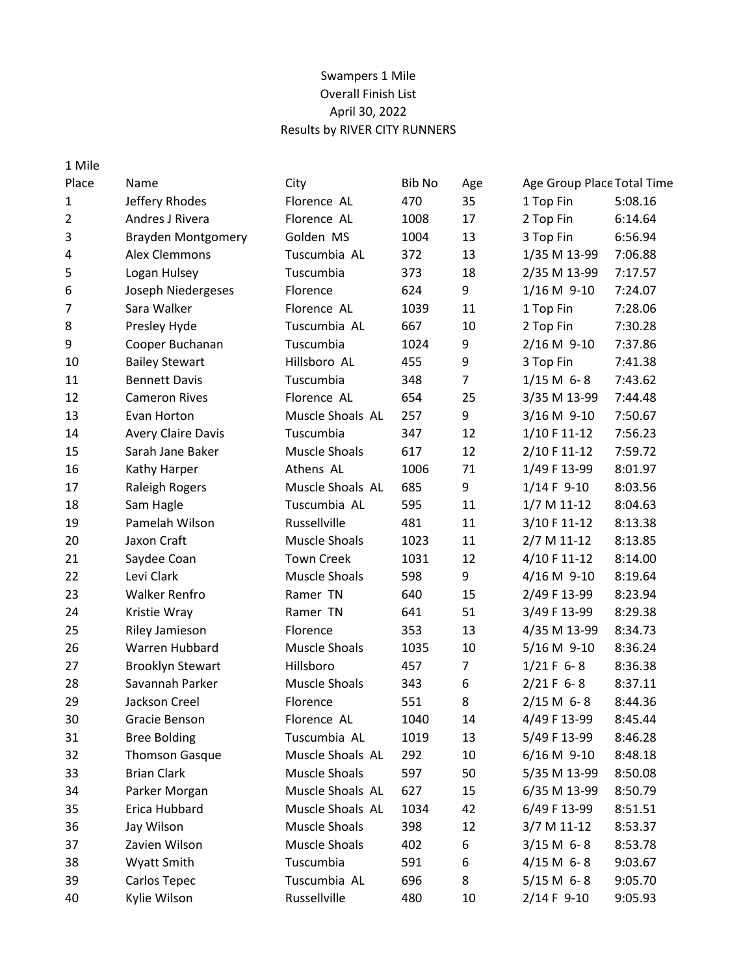# Swampers 1 Mile Overall Finish List April 30, 2022 Results by RIVER CITY RUNNERS

| 1 Mile         |                           |                      |        |                |                            |         |
|----------------|---------------------------|----------------------|--------|----------------|----------------------------|---------|
| Place          | Name                      | City                 | Bib No | Age            | Age Group Place Total Time |         |
| 1              | Jeffery Rhodes            | Florence AL          | 470    | 35             | 1 Top Fin                  | 5:08.16 |
| $\overline{2}$ | Andres J Rivera           | Florence AL          | 1008   | 17             | 2 Top Fin                  | 6:14.64 |
| 3              | <b>Brayden Montgomery</b> | Golden MS            | 1004   | 13             | 3 Top Fin                  | 6:56.94 |
| 4              | Alex Clemmons             | Tuscumbia AL         | 372    | 13             | 1/35 M 13-99               | 7:06.88 |
| 5              | Logan Hulsey              | Tuscumbia            | 373    | 18             | 2/35 M 13-99               | 7:17.57 |
| 6              | Joseph Niedergeses        | Florence             | 624    | 9              | $1/16 M$ 9-10              | 7:24.07 |
| 7              | Sara Walker               | Florence AL          | 1039   | 11             | 1 Top Fin                  | 7:28.06 |
| 8              | Presley Hyde              | Tuscumbia AL         | 667    | 10             | 2 Top Fin                  | 7:30.28 |
| 9              | Cooper Buchanan           | Tuscumbia            | 1024   | 9              | 2/16 M 9-10                | 7:37.86 |
| 10             | <b>Bailey Stewart</b>     | Hillsboro AL         | 455    | 9              | 3 Top Fin                  | 7:41.38 |
| 11             | <b>Bennett Davis</b>      | Tuscumbia            | 348    | $\overline{7}$ | $1/15 M 6 - 8$             | 7:43.62 |
| 12             | <b>Cameron Rives</b>      | Florence AL          | 654    | 25             | 3/35 M 13-99               | 7:44.48 |
| 13             | Evan Horton               | Muscle Shoals AL     | 257    | 9              | 3/16 M 9-10                | 7:50.67 |
| 14             | <b>Avery Claire Davis</b> | Tuscumbia            | 347    | 12             | 1/10 F 11-12               | 7:56.23 |
| 15             | Sarah Jane Baker          | <b>Muscle Shoals</b> | 617    | 12             | 2/10 F 11-12               | 7:59.72 |
| 16             | Kathy Harper              | Athens AL            | 1006   | 71             | 1/49 F 13-99               | 8:01.97 |
| 17             | <b>Raleigh Rogers</b>     | Muscle Shoals AL     | 685    | 9              | $1/14 F 9-10$              | 8:03.56 |
| 18             | Sam Hagle                 | Tuscumbia AL         | 595    | 11             | $1/7 M 11-12$              | 8:04.63 |
| 19             | Pamelah Wilson            | Russellville         | 481    | 11             | 3/10 F 11-12               | 8:13.38 |
| 20             | Jaxon Craft               | <b>Muscle Shoals</b> | 1023   | 11             | 2/7 M 11-12                | 8:13.85 |
| 21             | Saydee Coan               | <b>Town Creek</b>    | 1031   | 12             | 4/10 F 11-12               | 8:14.00 |
| 22             | Levi Clark                | <b>Muscle Shoals</b> | 598    | 9              | 4/16 M 9-10                | 8:19.64 |
| 23             | <b>Walker Renfro</b>      | Ramer TN             | 640    | 15             | 2/49 F 13-99               | 8:23.94 |
| 24             | Kristie Wray              | Ramer TN             | 641    | 51             | 3/49 F 13-99               | 8:29.38 |
| 25             | Riley Jamieson            | Florence             | 353    | 13             | 4/35 M 13-99               | 8:34.73 |
| 26             | Warren Hubbard            | <b>Muscle Shoals</b> | 1035   | 10             | 5/16 M 9-10                | 8:36.24 |
| 27             | <b>Brooklyn Stewart</b>   | Hillsboro            | 457    | $\overline{7}$ | $1/21 F 6 - 8$             | 8:36.38 |
| 28             | Savannah Parker           | <b>Muscle Shoals</b> | 343    | 6              | $2/21 F 6 - 8$             | 8:37.11 |
| 29             | Jackson Creel             | Florence             | 551    | 8              | $2/15 M 6 - 8$             | 8:44.36 |
| 30             | Gracie Benson             | Florence AL          | 1040   | 14             | 4/49 F 13-99               | 8:45.44 |
| 31             | <b>Bree Bolding</b>       | Tuscumbia AL         | 1019   | 13             | 5/49 F 13-99               | 8:46.28 |
| 32             | <b>Thomson Gasque</b>     | Muscle Shoals AL     | 292    | 10             | 6/16 M 9-10                | 8:48.18 |
| 33             | <b>Brian Clark</b>        | Muscle Shoals        | 597    | 50             | 5/35 M 13-99               | 8:50.08 |
| 34             | Parker Morgan             | Muscle Shoals AL     | 627    | 15             | 6/35 M 13-99               | 8:50.79 |
| 35             | Erica Hubbard             | Muscle Shoals AL     | 1034   | 42             | 6/49 F 13-99               | 8:51.51 |
| 36             | Jay Wilson                | <b>Muscle Shoals</b> | 398    | 12             | 3/7 M 11-12                | 8:53.37 |
| 37             | Zavien Wilson             | <b>Muscle Shoals</b> | 402    | 6              | $3/15 M 6 - 8$             | 8:53.78 |
| 38             | Wyatt Smith               | Tuscumbia            | 591    | 6              | $4/15 M 6 - 8$             | 9:03.67 |
| 39             | Carlos Tepec              | Tuscumbia AL         | 696    | 8              | $5/15 M 6 - 8$             | 9:05.70 |
| 40             | Kylie Wilson              | Russellville         | 480    | 10             | 2/14 F 9-10                | 9:05.93 |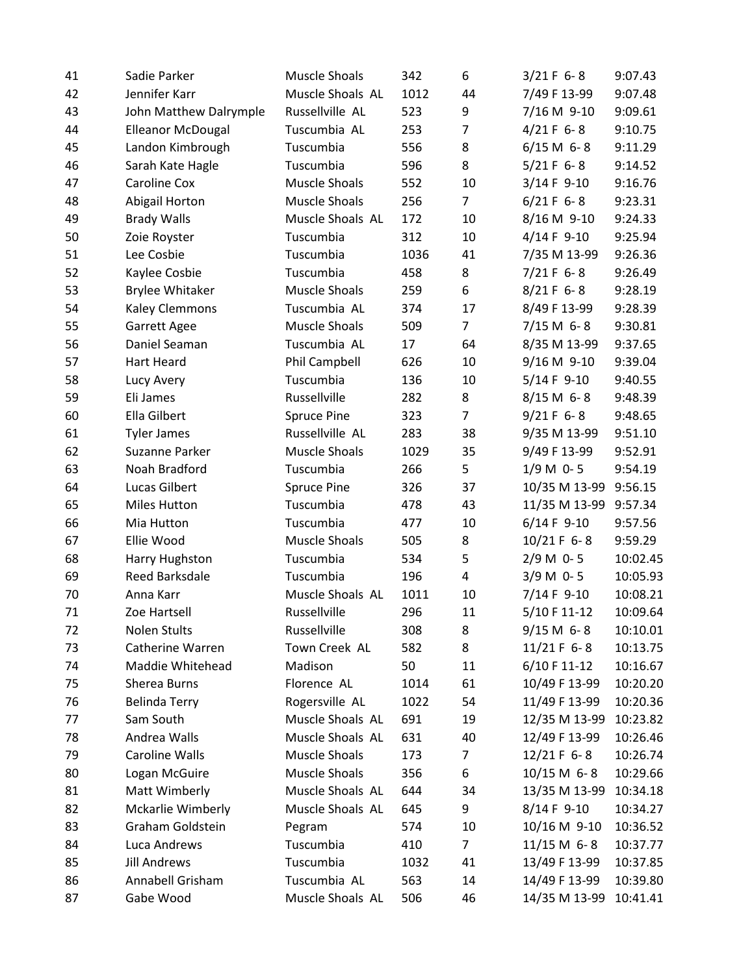| 41 | Sadie Parker             | <b>Muscle Shoals</b> | 342  | 6              | $3/21 F 6 - 8$  | 9:07.43  |
|----|--------------------------|----------------------|------|----------------|-----------------|----------|
| 42 | Jennifer Karr            | Muscle Shoals AL     | 1012 | 44             | 7/49 F 13-99    | 9:07.48  |
| 43 | John Matthew Dalrymple   | Russellville AL      | 523  | 9              | 7/16 M 9-10     | 9:09.61  |
| 44 | <b>Elleanor McDougal</b> | Tuscumbia AL         | 253  | 7              | $4/21 F 6 - 8$  | 9:10.75  |
| 45 | Landon Kimbrough         | Tuscumbia            | 556  | 8              | $6/15 M 6 - 8$  | 9:11.29  |
| 46 | Sarah Kate Hagle         | Tuscumbia            | 596  | 8              | $5/21 F 6 - 8$  | 9:14.52  |
| 47 | Caroline Cox             | <b>Muscle Shoals</b> | 552  | 10             | $3/14 F 9-10$   | 9:16.76  |
| 48 | Abigail Horton           | Muscle Shoals        | 256  | $\overline{7}$ | $6/21 F 6 - 8$  | 9:23.31  |
| 49 | <b>Brady Walls</b>       | Muscle Shoals AL     | 172  | 10             | 8/16 M 9-10     | 9:24.33  |
| 50 | Zoie Royster             | Tuscumbia            | 312  | 10             | $4/14 F 9-10$   | 9:25.94  |
| 51 | Lee Cosbie               | Tuscumbia            | 1036 | 41             | 7/35 M 13-99    | 9:26.36  |
| 52 | Kaylee Cosbie            | Tuscumbia            | 458  | 8              | $7/21 F 6 - 8$  | 9:26.49  |
| 53 | <b>Brylee Whitaker</b>   | Muscle Shoals        | 259  | 6              | $8/21 F 6 - 8$  | 9:28.19  |
| 54 | Kaley Clemmons           | Tuscumbia AL         | 374  | 17             | 8/49 F 13-99    | 9:28.39  |
| 55 | <b>Garrett Agee</b>      | <b>Muscle Shoals</b> | 509  | $\overline{7}$ | $7/15 M 6 - 8$  | 9:30.81  |
| 56 | Daniel Seaman            | Tuscumbia AL         | 17   | 64             | 8/35 M 13-99    | 9:37.65  |
| 57 | Hart Heard               | Phil Campbell        | 626  | 10             | 9/16 M 9-10     | 9:39.04  |
| 58 | Lucy Avery               | Tuscumbia            | 136  | 10             | $5/14 F 9-10$   | 9:40.55  |
| 59 | Eli James                | Russellville         | 282  | 8              | $8/15 M 6 - 8$  | 9:48.39  |
| 60 | Ella Gilbert             | <b>Spruce Pine</b>   | 323  | $\overline{7}$ | $9/21 F 6 - 8$  | 9:48.65  |
| 61 | <b>Tyler James</b>       | Russellville AL      | 283  | 38             | 9/35 M 13-99    | 9:51.10  |
| 62 | Suzanne Parker           | <b>Muscle Shoals</b> | 1029 | 35             | 9/49 F 13-99    | 9:52.91  |
| 63 | Noah Bradford            | Tuscumbia            | 266  | 5              | $1/9 M 0 - 5$   | 9:54.19  |
| 64 | <b>Lucas Gilbert</b>     | <b>Spruce Pine</b>   | 326  | 37             | 10/35 M 13-99   | 9:56.15  |
| 65 | <b>Miles Hutton</b>      | Tuscumbia            | 478  | 43             | 11/35 M 13-99   | 9:57.34  |
| 66 | Mia Hutton               | Tuscumbia            | 477  | 10             | $6/14 F 9-10$   | 9:57.56  |
| 67 | Ellie Wood               | <b>Muscle Shoals</b> | 505  | 8              | 10/21 F 6-8     | 9:59.29  |
| 68 | Harry Hughston           | Tuscumbia            | 534  | 5              | $2/9 M 0 - 5$   | 10:02.45 |
| 69 | Reed Barksdale           | Tuscumbia            | 196  | 4              | $3/9 M 0 - 5$   | 10:05.93 |
| 70 | Anna Karr                | Muscle Shoals AL     | 1011 | 10             | 7/14 F 9-10     | 10:08.21 |
| 71 | Zoe Hartsell             | Russellville         | 296  | 11             | 5/10 F 11-12    | 10:09.64 |
| 72 | Nolen Stults             | Russellville         | 308  | 8              | $9/15 M 6 - 8$  | 10:10.01 |
| 73 | Catherine Warren         | Town Creek AL        | 582  | 8              | 11/21 F 6-8     | 10:13.75 |
| 74 | Maddie Whitehead         | Madison              | 50   | 11             | 6/10 F 11-12    | 10:16.67 |
| 75 | Sherea Burns             | Florence AL          | 1014 | 61             | 10/49 F 13-99   | 10:20.20 |
| 76 | <b>Belinda Terry</b>     | Rogersville AL       | 1022 | 54             | 11/49 F 13-99   | 10:20.36 |
| 77 | Sam South                | Muscle Shoals AL     | 691  | 19             | 12/35 M 13-99   | 10:23.82 |
| 78 | Andrea Walls             | Muscle Shoals AL     | 631  | 40             | 12/49 F 13-99   | 10:26.46 |
| 79 | Caroline Walls           | Muscle Shoals        | 173  | $\overline{7}$ | $12/21 F 6 - 8$ | 10:26.74 |
| 80 | Logan McGuire            | Muscle Shoals        | 356  | 6              | $10/15$ M 6-8   | 10:29.66 |
| 81 | Matt Wimberly            | Muscle Shoals AL     | 644  | 34             | 13/35 M 13-99   | 10:34.18 |
| 82 | Mckarlie Wimberly        | Muscle Shoals AL     | 645  | 9              | 8/14 F 9-10     | 10:34.27 |
| 83 | Graham Goldstein         | Pegram               | 574  | 10             | 10/16 M 9-10    | 10:36.52 |
| 84 | Luca Andrews             | Tuscumbia            | 410  | $\overline{7}$ | $11/15 M 6 - 8$ | 10:37.77 |
| 85 | <b>Jill Andrews</b>      | Tuscumbia            | 1032 | 41             | 13/49 F 13-99   | 10:37.85 |
| 86 | Annabell Grisham         | Tuscumbia AL         | 563  | 14             | 14/49 F 13-99   | 10:39.80 |
| 87 | Gabe Wood                | Muscle Shoals AL     | 506  | 46             | 14/35 M 13-99   | 10:41.41 |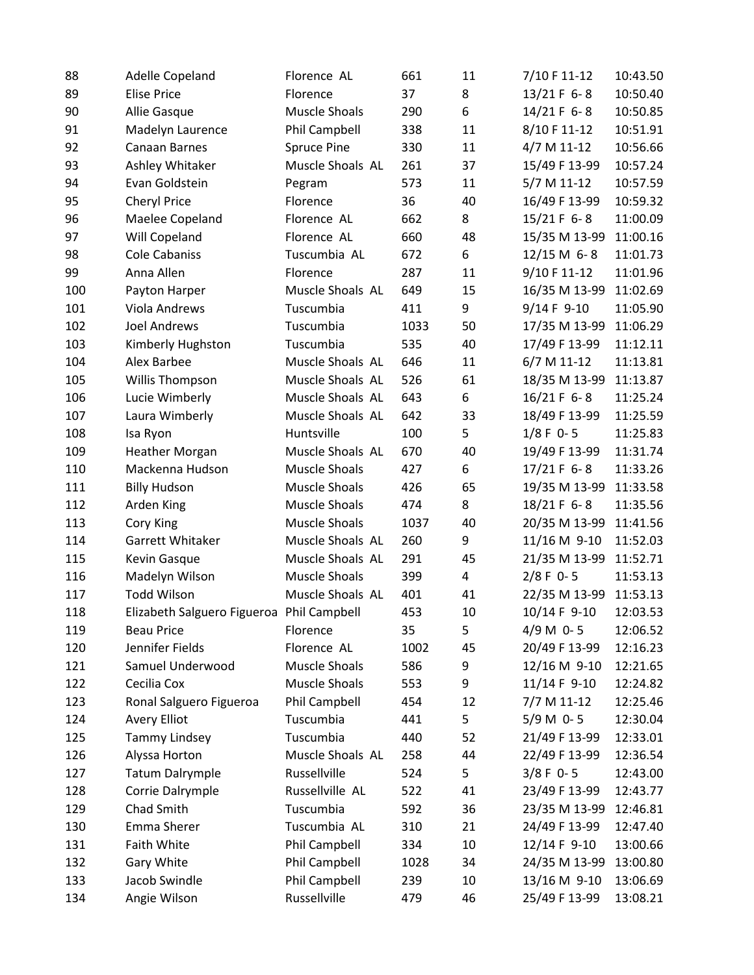| 88  | Adelle Copeland                           | Florence AL          | 661  | 11 | 7/10 F 11-12  | 10:43.50 |
|-----|-------------------------------------------|----------------------|------|----|---------------|----------|
| 89  | <b>Elise Price</b>                        | Florence             | 37   | 8  | 13/21 F 6-8   | 10:50.40 |
| 90  | Allie Gasque                              | <b>Muscle Shoals</b> | 290  | 6  | 14/21 F 6-8   | 10:50.85 |
| 91  | Madelyn Laurence                          | Phil Campbell        | 338  | 11 | 8/10 F 11-12  | 10:51.91 |
| 92  | Canaan Barnes                             | <b>Spruce Pine</b>   | 330  | 11 | 4/7 M 11-12   | 10:56.66 |
| 93  | Ashley Whitaker                           | Muscle Shoals AL     | 261  | 37 | 15/49 F 13-99 | 10:57.24 |
| 94  | Evan Goldstein                            | Pegram               | 573  | 11 | 5/7 M 11-12   | 10:57.59 |
| 95  | Cheryl Price                              | Florence             | 36   | 40 | 16/49 F 13-99 | 10:59.32 |
| 96  | Maelee Copeland                           | Florence AL          | 662  | 8  | 15/21 F 6-8   | 11:00.09 |
| 97  | Will Copeland                             | Florence AL          | 660  | 48 | 15/35 M 13-99 | 11:00.16 |
| 98  | <b>Cole Cabaniss</b>                      | Tuscumbia AL         | 672  | 6  | 12/15 M 6-8   | 11:01.73 |
| 99  | Anna Allen                                | Florence             | 287  | 11 | 9/10 F 11-12  | 11:01.96 |
| 100 | Payton Harper                             | Muscle Shoals AL     | 649  | 15 | 16/35 M 13-99 | 11:02.69 |
| 101 | <b>Viola Andrews</b>                      | Tuscumbia            | 411  | 9  | 9/14 F 9-10   | 11:05.90 |
| 102 | <b>Joel Andrews</b>                       | Tuscumbia            | 1033 | 50 | 17/35 M 13-99 | 11:06.29 |
| 103 | Kimberly Hughston                         | Tuscumbia            | 535  | 40 | 17/49 F 13-99 | 11:12.11 |
| 104 | Alex Barbee                               | Muscle Shoals AL     | 646  | 11 | 6/7 M 11-12   | 11:13.81 |
| 105 | Willis Thompson                           | Muscle Shoals AL     | 526  | 61 | 18/35 M 13-99 | 11:13.87 |
| 106 | Lucie Wimberly                            | Muscle Shoals AL     | 643  | 6  | 16/21 F 6-8   | 11:25.24 |
| 107 | Laura Wimberly                            | Muscle Shoals AL     | 642  | 33 | 18/49 F 13-99 | 11:25.59 |
| 108 | Isa Ryon                                  | Huntsville           | 100  | 5  | $1/8$ F 0-5   | 11:25.83 |
| 109 | <b>Heather Morgan</b>                     | Muscle Shoals AL     | 670  | 40 | 19/49 F 13-99 | 11:31.74 |
| 110 | Mackenna Hudson                           | <b>Muscle Shoals</b> | 427  | 6  | 17/21 F 6-8   | 11:33.26 |
| 111 | <b>Billy Hudson</b>                       | <b>Muscle Shoals</b> | 426  | 65 | 19/35 M 13-99 | 11:33.58 |
| 112 | Arden King                                | <b>Muscle Shoals</b> | 474  | 8  | 18/21 F 6-8   | 11:35.56 |
| 113 | Cory King                                 | <b>Muscle Shoals</b> | 1037 | 40 | 20/35 M 13-99 | 11:41.56 |
| 114 | Garrett Whitaker                          | Muscle Shoals AL     | 260  | 9  | 11/16 M 9-10  | 11:52.03 |
| 115 | Kevin Gasque                              | Muscle Shoals AL     | 291  | 45 | 21/35 M 13-99 | 11:52.71 |
| 116 | Madelyn Wilson                            | <b>Muscle Shoals</b> | 399  | 4  | $2/8$ F 0-5   | 11:53.13 |
| 117 | <b>Todd Wilson</b>                        | Muscle Shoals AL     | 401  | 41 | 22/35 M 13-99 | 11:53.13 |
| 118 | Elizabeth Salguero Figueroa Phil Campbell |                      | 453  | 10 | 10/14 F 9-10  | 12:03.53 |
| 119 | <b>Beau Price</b>                         | Florence             | 35   | 5  | 4/9 M 0-5     | 12:06.52 |
| 120 | Jennifer Fields                           | Florence AL          | 1002 | 45 | 20/49 F 13-99 | 12:16.23 |
| 121 | Samuel Underwood                          | <b>Muscle Shoals</b> | 586  | 9  | 12/16 M 9-10  | 12:21.65 |
| 122 | Cecilia Cox                               | <b>Muscle Shoals</b> | 553  | 9  | 11/14 F 9-10  | 12:24.82 |
| 123 | Ronal Salguero Figueroa                   | <b>Phil Campbell</b> | 454  | 12 | 7/7 M 11-12   | 12:25.46 |
| 124 | Avery Elliot                              | Tuscumbia            | 441  | 5  | $5/9 M 0-5$   | 12:30.04 |
| 125 | Tammy Lindsey                             | Tuscumbia            | 440  | 52 | 21/49 F 13-99 | 12:33.01 |
| 126 | Alyssa Horton                             | Muscle Shoals AL     | 258  | 44 | 22/49 F 13-99 | 12:36.54 |
| 127 | Tatum Dalrymple                           | Russellville         | 524  | 5  | $3/8$ F 0-5   | 12:43.00 |
| 128 | Corrie Dalrymple                          | Russellville AL      | 522  | 41 | 23/49 F 13-99 | 12:43.77 |
| 129 | Chad Smith                                | Tuscumbia            | 592  | 36 | 23/35 M 13-99 | 12:46.81 |
| 130 | Emma Sherer                               | Tuscumbia AL         | 310  | 21 | 24/49 F 13-99 | 12:47.40 |
| 131 | Faith White                               | Phil Campbell        | 334  | 10 | 12/14 F 9-10  | 13:00.66 |
| 132 | Gary White                                | Phil Campbell        | 1028 | 34 | 24/35 M 13-99 | 13:00.80 |
| 133 | Jacob Swindle                             | Phil Campbell        | 239  | 10 | 13/16 M 9-10  | 13:06.69 |
| 134 | Angie Wilson                              | Russellville         | 479  | 46 | 25/49 F 13-99 | 13:08.21 |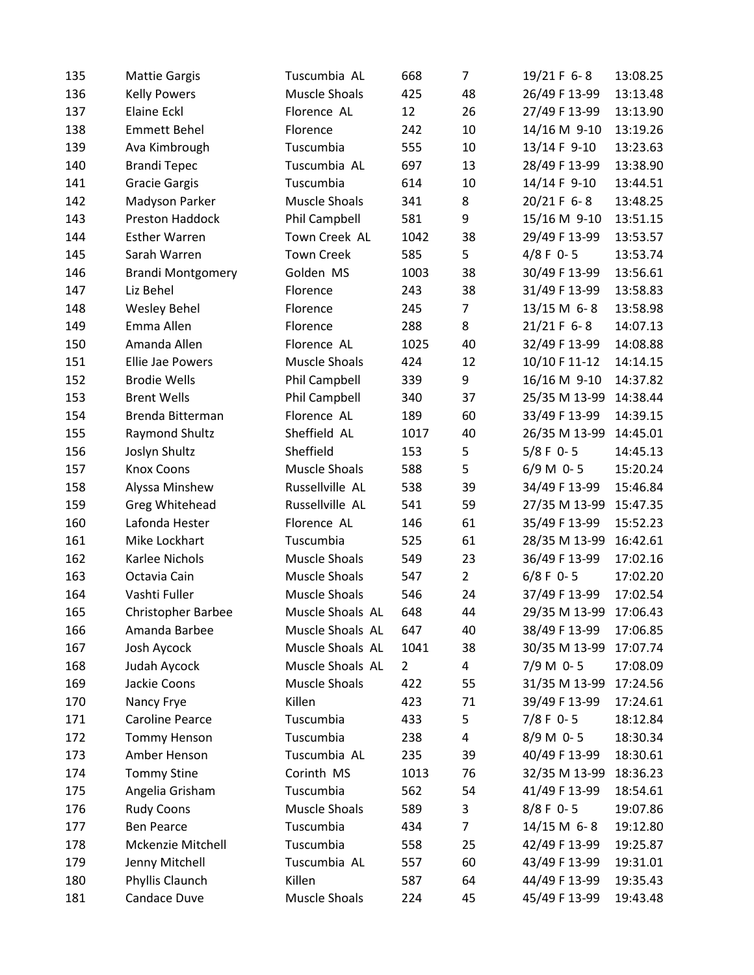| 135 | <b>Mattie Gargis</b>      | Tuscumbia AL         | 668            | $\overline{7}$ | 19/21 F 6-8   | 13:08.25 |
|-----|---------------------------|----------------------|----------------|----------------|---------------|----------|
| 136 | <b>Kelly Powers</b>       | <b>Muscle Shoals</b> | 425            | 48             | 26/49 F 13-99 | 13:13.48 |
| 137 | <b>Elaine Eckl</b>        | Florence AL          | 12             | 26             | 27/49 F 13-99 | 13:13.90 |
| 138 | <b>Emmett Behel</b>       | Florence             | 242            | 10             | 14/16 M 9-10  | 13:19.26 |
| 139 | Ava Kimbrough             | Tuscumbia            | 555            | 10             | 13/14 F 9-10  | 13:23.63 |
| 140 | <b>Brandi Tepec</b>       | Tuscumbia AL         | 697            | 13             | 28/49 F 13-99 | 13:38.90 |
| 141 | <b>Gracie Gargis</b>      | Tuscumbia            | 614            | 10             | 14/14 F 9-10  | 13:44.51 |
| 142 | Madyson Parker            | <b>Muscle Shoals</b> | 341            | 8              | 20/21 F 6-8   | 13:48.25 |
| 143 | <b>Preston Haddock</b>    | Phil Campbell        | 581            | 9              | 15/16 M 9-10  | 13:51.15 |
| 144 | <b>Esther Warren</b>      | Town Creek AL        | 1042           | 38             | 29/49 F 13-99 | 13:53.57 |
| 145 | Sarah Warren              | <b>Town Creek</b>    | 585            | 5              | $4/8$ F 0-5   | 13:53.74 |
| 146 | <b>Brandi Montgomery</b>  | Golden MS            | 1003           | 38             | 30/49 F 13-99 | 13:56.61 |
| 147 | Liz Behel                 | Florence             | 243            | 38             | 31/49 F 13-99 | 13:58.83 |
| 148 | <b>Wesley Behel</b>       | Florence             | 245            | $\overline{7}$ | 13/15 M 6-8   | 13:58.98 |
| 149 | Emma Allen                | Florence             | 288            | 8              | 21/21 F 6-8   | 14:07.13 |
| 150 | Amanda Allen              | Florence AL          | 1025           | 40             | 32/49 F 13-99 | 14:08.88 |
| 151 | Ellie Jae Powers          | <b>Muscle Shoals</b> | 424            | 12             | 10/10 F 11-12 | 14:14.15 |
| 152 | <b>Brodie Wells</b>       | Phil Campbell        | 339            | 9              | 16/16 M 9-10  | 14:37.82 |
| 153 | <b>Brent Wells</b>        | Phil Campbell        | 340            | 37             | 25/35 M 13-99 | 14:38.44 |
| 154 | Brenda Bitterman          | Florence AL          | 189            | 60             | 33/49 F 13-99 | 14:39.15 |
| 155 | Raymond Shultz            | Sheffield AL         | 1017           | 40             | 26/35 M 13-99 | 14:45.01 |
| 156 | Joslyn Shultz             | Sheffield            | 153            | 5              | $5/8$ F 0-5   | 14:45.13 |
| 157 | <b>Knox Coons</b>         | <b>Muscle Shoals</b> | 588            | 5              | $6/9 M$ 0-5   | 15:20.24 |
| 158 | Alyssa Minshew            | Russellville AL      | 538            | 39             | 34/49 F 13-99 | 15:46.84 |
| 159 | Greg Whitehead            | Russellville AL      | 541            | 59             | 27/35 M 13-99 | 15:47.35 |
| 160 | Lafonda Hester            | Florence AL          | 146            | 61             | 35/49 F 13-99 | 15:52.23 |
| 161 | Mike Lockhart             | Tuscumbia            | 525            | 61             | 28/35 M 13-99 | 16:42.61 |
| 162 | Karlee Nichols            | <b>Muscle Shoals</b> | 549            | 23             | 36/49 F 13-99 | 17:02.16 |
| 163 | Octavia Cain              | <b>Muscle Shoals</b> | 547            | $\overline{2}$ | $6/8$ F 0-5   | 17:02.20 |
| 164 | Vashti Fuller             | <b>Muscle Shoals</b> | 546            | 24             | 37/49 F 13-99 | 17:02.54 |
| 165 | <b>Christopher Barbee</b> | Muscle Shoals AL     | 648            | 44             | 29/35 M 13-99 | 17:06.43 |
| 166 | Amanda Barbee             | Muscle Shoals AL     | 647            | 40             | 38/49 F 13-99 | 17:06.85 |
| 167 | Josh Aycock               | Muscle Shoals AL     | 1041           | 38             | 30/35 M 13-99 | 17:07.74 |
| 168 | Judah Aycock              | Muscle Shoals AL     | $\overline{2}$ | 4              | 7/9 M 0-5     | 17:08.09 |
| 169 | Jackie Coons              | <b>Muscle Shoals</b> | 422            | 55             | 31/35 M 13-99 | 17:24.56 |
| 170 | Nancy Frye                | Killen               | 423            | 71             | 39/49 F 13-99 | 17:24.61 |
| 171 | Caroline Pearce           | Tuscumbia            | 433            | 5              | $7/8$ F 0-5   | 18:12.84 |
| 172 | <b>Tommy Henson</b>       | Tuscumbia            | 238            | 4              | 8/9 M 0-5     | 18:30.34 |
| 173 | Amber Henson              | Tuscumbia AL         | 235            | 39             | 40/49 F 13-99 | 18:30.61 |
| 174 | <b>Tommy Stine</b>        | Corinth MS           | 1013           | 76             | 32/35 M 13-99 | 18:36.23 |
| 175 | Angelia Grisham           | Tuscumbia            | 562            | 54             | 41/49 F 13-99 | 18:54.61 |
| 176 | <b>Rudy Coons</b>         | <b>Muscle Shoals</b> | 589            | 3              | $8/8$ F 0-5   | 19:07.86 |
| 177 | <b>Ben Pearce</b>         | Tuscumbia            | 434            | 7              | 14/15 M 6-8   | 19:12.80 |
| 178 | Mckenzie Mitchell         | Tuscumbia            | 558            | 25             | 42/49 F 13-99 | 19:25.87 |
| 179 | Jenny Mitchell            | Tuscumbia AL         | 557            | 60             | 43/49 F 13-99 | 19:31.01 |
| 180 | Phyllis Claunch           | Killen               | 587            | 64             | 44/49 F 13-99 | 19:35.43 |
| 181 | Candace Duve              | Muscle Shoals        | 224            | 45             | 45/49 F 13-99 | 19:43.48 |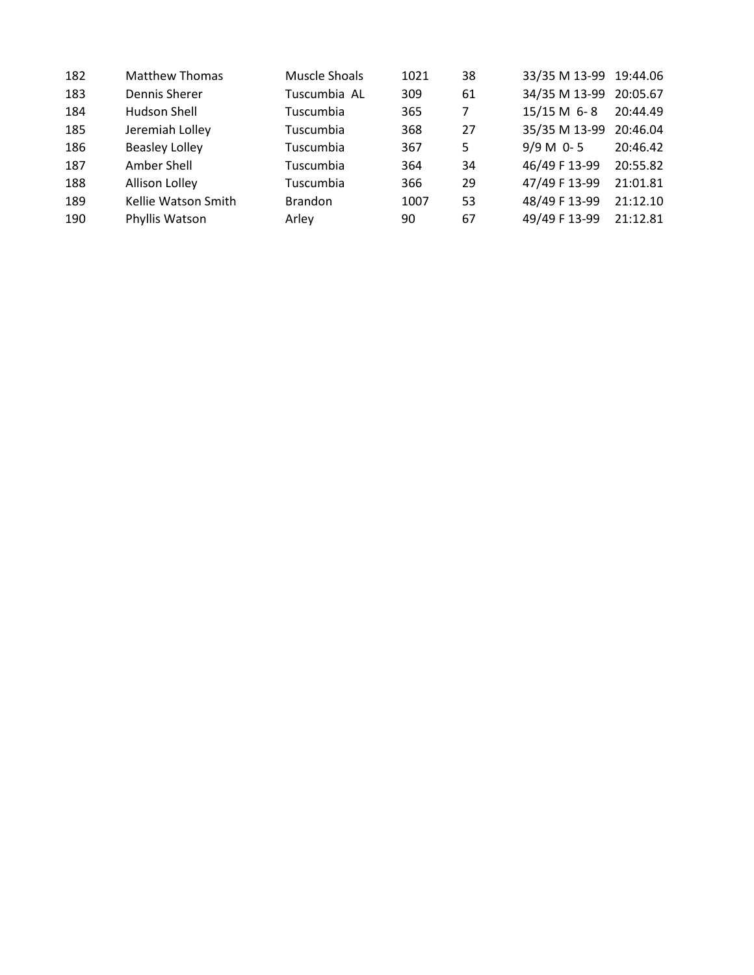| 182 | <b>Matthew Thomas</b> | Muscle Shoals  | 1021 | 38 | 33/35 M 13-99 19:44.06 |          |
|-----|-----------------------|----------------|------|----|------------------------|----------|
| 183 | Dennis Sherer         | Tuscumbia AL   | 309  | 61 | 34/35 M 13-99 20:05.67 |          |
| 184 | Hudson Shell          | Tuscumbia      | 365  | 7  | $15/15 M 6 - 8$        | 20:44.49 |
| 185 | Jeremiah Lolley       | Tuscumbia      | 368  | 27 | 35/35 M 13-99          | 20:46.04 |
| 186 | <b>Beasley Lolley</b> | Tuscumbia      | 367  | 5  | $9/9 M 0 - 5$          | 20:46.42 |
| 187 | Amber Shell           | Tuscumbia      | 364  | 34 | 46/49 F 13-99          | 20:55.82 |
| 188 | Allison Lolley        | Tuscumbia      | 366  | 29 | 47/49 F 13-99          | 21:01.81 |
| 189 | Kellie Watson Smith   | <b>Brandon</b> | 1007 | 53 | 48/49 F 13-99          | 21:12.10 |
| 190 | Phyllis Watson        | Arley          | 90   | 67 | 49/49 F 13-99          | 21:12.81 |
|     |                       |                |      |    |                        |          |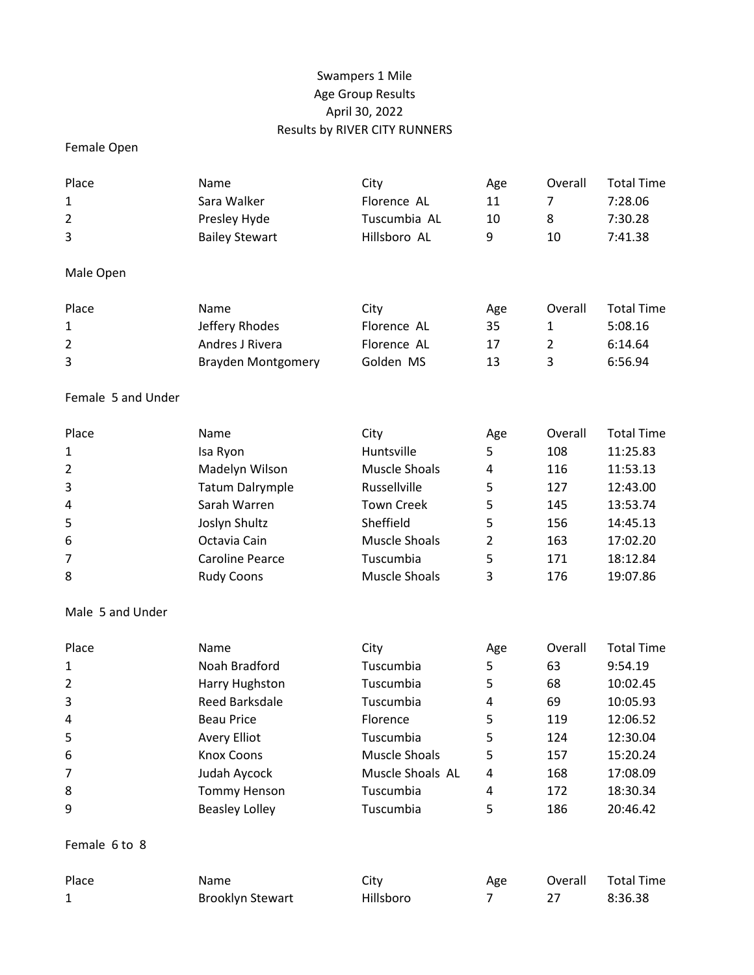# Swampers 1 Mile Age Group Results April 30, 2022 Results by RIVER CITY RUNNERS

## Female Open

| Place              | Name                      | City                 | Age            | Overall        | <b>Total Time</b> |
|--------------------|---------------------------|----------------------|----------------|----------------|-------------------|
| 1                  | Sara Walker               | Florence AL          | 11             | 7              | 7:28.06           |
| 2                  | Presley Hyde              | Tuscumbia AL         | 10             | 8              | 7:30.28           |
| 3                  | <b>Bailey Stewart</b>     | Hillsboro AL         | 9              | 10             | 7:41.38           |
| Male Open          |                           |                      |                |                |                   |
| Place              | Name                      | City                 | Age            | Overall        | <b>Total Time</b> |
| 1                  | Jeffery Rhodes            | Florence AL          | 35             | 1              | 5:08.16           |
| 2                  | Andres J Rivera           | Florence AL          | 17             | $\overline{2}$ | 6:14.64           |
| 3                  | <b>Brayden Montgomery</b> | Golden MS            | 13             | 3              | 6:56.94           |
| Female 5 and Under |                           |                      |                |                |                   |
| Place              | Name                      | City                 | Age            | Overall        | <b>Total Time</b> |
| 1                  | Isa Ryon                  | Huntsville           | 5              | 108            | 11:25.83          |
| 2                  | Madelyn Wilson            | <b>Muscle Shoals</b> | 4              | 116            | 11:53.13          |
| 3                  | <b>Tatum Dalrymple</b>    | Russellville         | 5              | 127            | 12:43.00          |
| 4                  | Sarah Warren              | <b>Town Creek</b>    | 5              | 145            | 13:53.74          |
| 5                  | Joslyn Shultz             | Sheffield            | 5              | 156            | 14:45.13          |
| 6                  | Octavia Cain              | <b>Muscle Shoals</b> | $\overline{2}$ | 163            | 17:02.20          |
| 7                  | <b>Caroline Pearce</b>    | Tuscumbia            | 5              | 171            | 18:12.84          |
| 8                  | <b>Rudy Coons</b>         | <b>Muscle Shoals</b> | 3              | 176            | 19:07.86          |
| Male 5 and Under   |                           |                      |                |                |                   |
| Place              | Name                      | City                 | Age            | Overall        | <b>Total Time</b> |
| 1                  | Noah Bradford             | Tuscumbia            | 5              | 63             | 9:54.19           |
| $\overline{2}$     | Harry Hughston            | Tuscumbia            | 5              | 68             | 10:02.45          |
| 3                  | <b>Reed Barksdale</b>     | Tuscumbia            | 4              | 69             | 10:05.93          |
| 4                  | <b>Beau Price</b>         | Florence             | 5              | 119            | 12:06.52          |
| 5                  | <b>Avery Elliot</b>       | Tuscumbia            | 5              | 124            | 12:30.04          |
| 6                  | <b>Knox Coons</b>         | <b>Muscle Shoals</b> | 5              | 157            | 15:20.24          |
| 7                  | Judah Aycock              | Muscle Shoals AL     | 4              | 168            | 17:08.09          |
| 8                  | <b>Tommy Henson</b>       | Tuscumbia            | 4              | 172            | 18:30.34          |
| 9                  | <b>Beasley Lolley</b>     | Tuscumbia            | 5              | 186            | 20:46.42          |
| Female 6 to 8      |                           |                      |                |                |                   |
| Place              | Name                      | City                 | Age            | Overall        | <b>Total Time</b> |
| 1                  | <b>Brooklyn Stewart</b>   | Hillsboro            | 7              | 27             | 8:36.38           |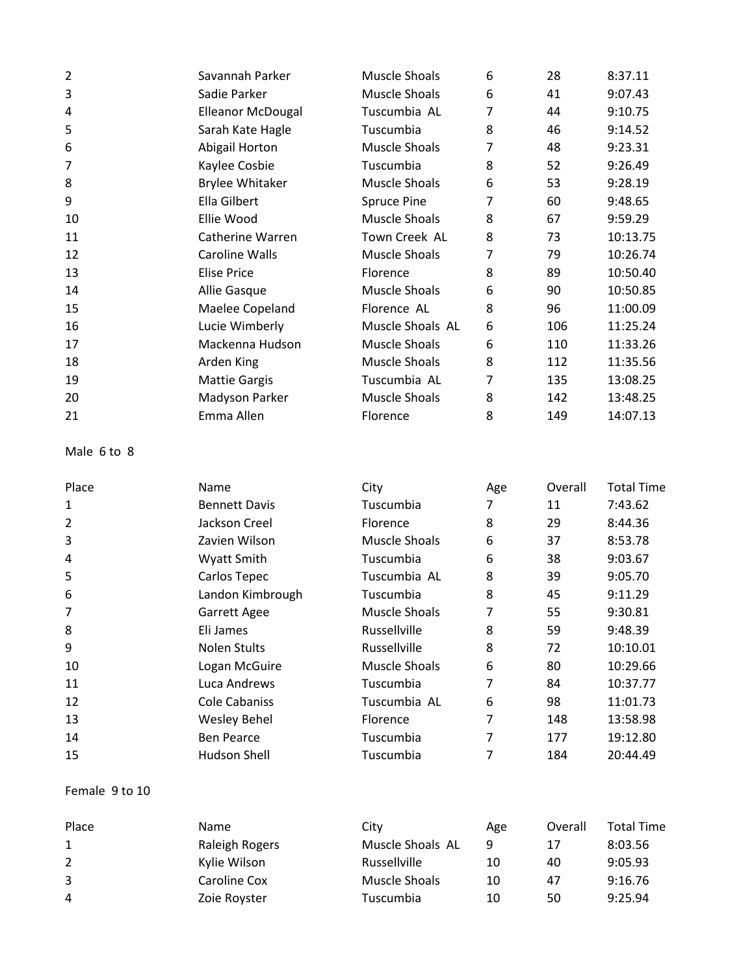| $\overline{2}$ | Savannah Parker          | Muscle Shoals      | 6 | 28  | 8:37.11  |
|----------------|--------------------------|--------------------|---|-----|----------|
| 3              | Sadie Parker             | Muscle Shoals      | 6 | 41  | 9:07.43  |
| 4              | <b>Elleanor McDougal</b> | Tuscumbia AL       | 7 | 44  | 9:10.75  |
| 5              | Sarah Kate Hagle         | Tuscumbia          | 8 | 46  | 9:14.52  |
| 6              | Abigail Horton           | Muscle Shoals      | 7 | 48  | 9:23.31  |
| 7              | Kaylee Cosbie            | Tuscumbia          | 8 | 52  | 9:26.49  |
| 8              | <b>Brylee Whitaker</b>   | Muscle Shoals      | 6 | 53  | 9:28.19  |
| 9              | Ella Gilbert             | <b>Spruce Pine</b> | 7 | 60  | 9:48.65  |
| 10             | Ellie Wood               | Muscle Shoals      | 8 | 67  | 9:59.29  |
| 11             | Catherine Warren         | Town Creek AL      | 8 | 73  | 10:13.75 |
| 12             | Caroline Walls           | Muscle Shoals      | 7 | 79  | 10:26.74 |
| 13             | <b>Elise Price</b>       | Florence           | 8 | 89  | 10:50.40 |
| 14             | Allie Gasque             | Muscle Shoals      | 6 | 90  | 10:50.85 |
| 15             | Maelee Copeland          | Florence AL        | 8 | 96  | 11:00.09 |
| 16             | Lucie Wimberly           | Muscle Shoals AL   | 6 | 106 | 11:25.24 |
| 17             | Mackenna Hudson          | Muscle Shoals      | 6 | 110 | 11:33.26 |
| 18             | Arden King               | Muscle Shoals      | 8 | 112 | 11:35.56 |
| 19             | <b>Mattie Gargis</b>     | Tuscumbia AL       | 7 | 135 | 13:08.25 |
| 20             | Madyson Parker           | Muscle Shoals      | 8 | 142 | 13:48.25 |
| 21             | Emma Allen               | Florence           | 8 | 149 | 14:07.13 |

Male 6 to 8

| Place | Name                 | City            | Age | Overall | <b>Total Time</b> |
|-------|----------------------|-----------------|-----|---------|-------------------|
| 1     | <b>Bennett Davis</b> | Tuscumbia       | 7   | 11      | 7:43.62           |
| 2     | Jackson Creel        | <b>Florence</b> | 8   | 29      | 8:44.36           |
| 3     | Zavien Wilson        | Muscle Shoals   | 6   | 37      | 8:53.78           |
| 4     | Wyatt Smith          | Tuscumbia       | 6   | 38      | 9:03.67           |
| 5     | Carlos Tepec         | Tuscumbia AL    | 8   | 39      | 9:05.70           |
| 6     | Landon Kimbrough     | Tuscumbia       | 8   | 45      | 9:11.29           |
| 7     | <b>Garrett Agee</b>  | Muscle Shoals   | 7   | 55      | 9:30.81           |
| 8     | Eli James            | Russellville    | 8   | 59      | 9:48.39           |
| 9     | Nolen Stults         | Russellville    | 8   | 72      | 10:10.01          |
| 10    | Logan McGuire        | Muscle Shoals   | 6   | 80      | 10:29.66          |
| 11    | Luca Andrews         | Tuscumbia       | 7   | 84      | 10:37.77          |
| 12    | Cole Cabaniss        | Tuscumbia AL    | 6   | 98      | 11:01.73          |
| 13    | <b>Wesley Behel</b>  | <b>Florence</b> | 7   | 148     | 13:58.98          |
| 14    | <b>Ben Pearce</b>    | Tuscumbia       | 7   | 177     | 19:12.80          |
| 15    | Hudson Shell         | Tuscumbia       | 7   | 184     | 20:44.49          |

### Female 9 to 10

| Place | <b>Name</b>    | City             | Age | Overall | <b>Total Time</b> |
|-------|----------------|------------------|-----|---------|-------------------|
| 1     | Raleigh Rogers | Muscle Shoals AL | q   | 17      | 8:03.56           |
| 2     | Kylie Wilson   | Russellville     | 10  | 40      | 9:05.93           |
| 3     | Caroline Cox   | Muscle Shoals    | 10  | 47      | 9:16.76           |
| 4     | Zoie Royster   | Tuscumbia        | 10  | 50      | 9:25.94           |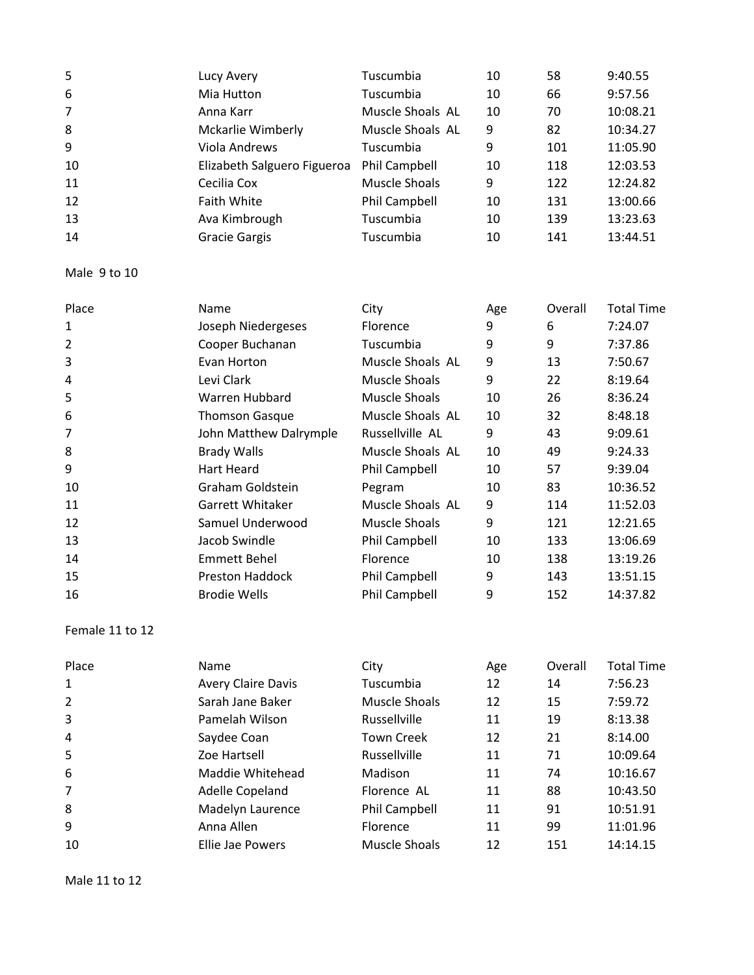| 5              | Lucy Avery                  | Tuscumbia        | 10 | 58  | 9:40.55  |
|----------------|-----------------------------|------------------|----|-----|----------|
| 6              | Mia Hutton                  | Tuscumbia        | 10 | 66  | 9:57.56  |
| $\overline{7}$ | Anna Karr                   | Muscle Shoals AL | 10 | 70  | 10:08.21 |
| 8              | Mckarlie Wimberly           | Muscle Shoals AL | 9  | 82  | 10:34.27 |
| 9              | Viola Andrews               | Tuscumbia        | 9  | 101 | 11:05.90 |
| 10             | Elizabeth Salguero Figueroa | Phil Campbell    | 10 | 118 | 12:03.53 |
| 11             | Cecilia Cox                 | Muscle Shoals    | 9  | 122 | 12:24.82 |
| 12             | <b>Faith White</b>          | Phil Campbell    | 10 | 131 | 13:00.66 |
| 13             | Ava Kimbrough               | Tuscumbia        | 10 | 139 | 13:23.63 |
| 14             | <b>Gracie Gargis</b>        | Tuscumbia        | 10 | 141 | 13:44.51 |

Male 9 to 10

| Place          | Name                   | City                 | Age | Overall | <b>Total Time</b> |
|----------------|------------------------|----------------------|-----|---------|-------------------|
| 1              | Joseph Niedergeses     | Florence             | 9   | 6       | 7:24.07           |
| $\overline{2}$ | Cooper Buchanan        | Tuscumbia            | 9   | 9       | 7:37.86           |
| 3              | Evan Horton            | Muscle Shoals AL     | 9   | 13      | 7:50.67           |
| 4              | Levi Clark             | Muscle Shoals        | 9   | 22      | 8:19.64           |
| 5              | Warren Hubbard         | Muscle Shoals        | 10  | 26      | 8:36.24           |
| 6              | <b>Thomson Gasque</b>  | Muscle Shoals AL     | 10  | 32      | 8:48.18           |
| 7              | John Matthew Dalrymple | Russellville AL      | 9   | 43      | 9:09.61           |
| 8              | <b>Brady Walls</b>     | Muscle Shoals AL     | 10  | 49      | 9:24.33           |
| 9              | Hart Heard             | <b>Phil Campbell</b> | 10  | 57      | 9:39.04           |
| 10             | Graham Goldstein       | Pegram               | 10  | 83      | 10:36.52          |
| 11             | Garrett Whitaker       | Muscle Shoals AL     | 9   | 114     | 11:52.03          |
| 12             | Samuel Underwood       | Muscle Shoals        | 9   | 121     | 12:21.65          |
| 13             | Jacob Swindle          | <b>Phil Campbell</b> | 10  | 133     | 13:06.69          |
| 14             | <b>Emmett Behel</b>    | <b>Florence</b>      | 10  | 138     | 13:19.26          |
| 15             | <b>Preston Haddock</b> | <b>Phil Campbell</b> | 9   | 143     | 13:51.15          |
| 16             | <b>Brodie Wells</b>    | Phil Campbell        | 9   | 152     | 14:37.82          |

#### Female 11 to 12

| Place | Name                      | City              | Age | Overall | <b>Total Time</b> |
|-------|---------------------------|-------------------|-----|---------|-------------------|
| 1     | <b>Avery Claire Davis</b> | Tuscumbia         | 12  | 14      | 7:56.23           |
| 2     | Sarah Jane Baker          | Muscle Shoals     | 12  | 15      | 7:59.72           |
| 3     | Pamelah Wilson            | Russellville      | 11  | 19      | 8:13.38           |
| 4     | Saydee Coan               | <b>Town Creek</b> | 12  | 21      | 8:14.00           |
| 5     | Zoe Hartsell              | Russellville      | 11  | 71      | 10:09.64          |
| 6     | Maddie Whitehead          | Madison           | 11  | 74      | 10:16.67          |
| 7     | Adelle Copeland           | Florence AL       | 11  | 88      | 10:43.50          |
| 8     | Madelyn Laurence          | Phil Campbell     | 11  | 91      | 10:51.91          |
| 9     | Anna Allen                | Florence          | 11  | 99      | 11:01.96          |
| 10    | Ellie Jae Powers          | Muscle Shoals     | 12  | 151     | 14:14.15          |

Male 11 to 12